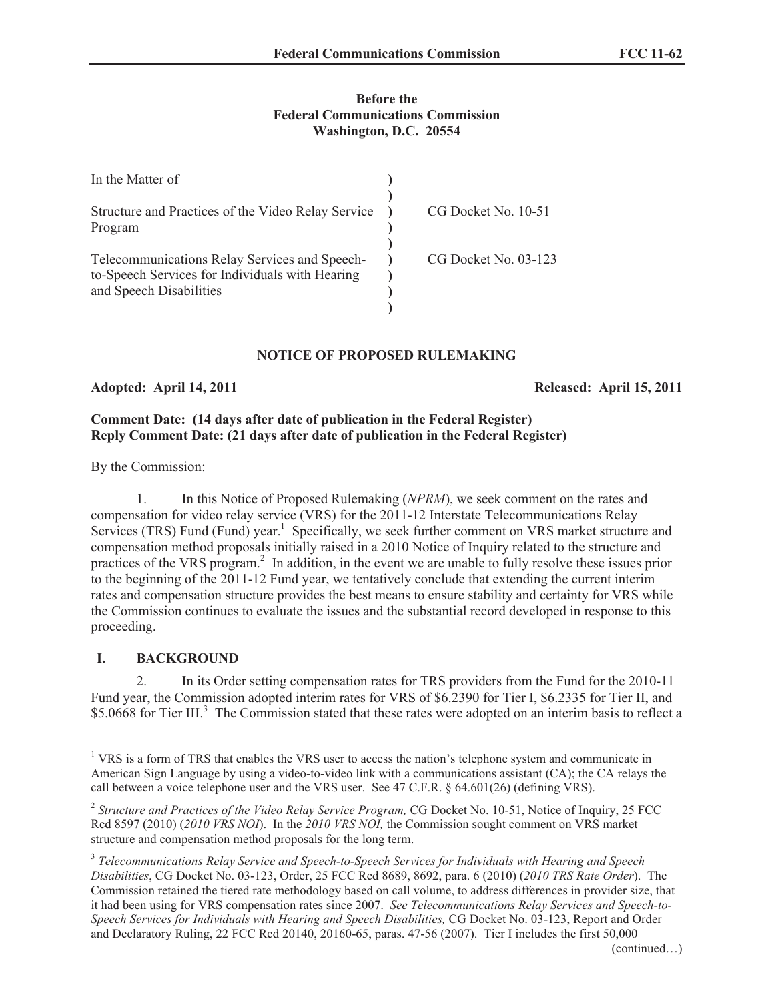### **Before the Federal Communications Commission Washington, D.C. 20554**

| In the Matter of                                                                                                            |                      |
|-----------------------------------------------------------------------------------------------------------------------------|----------------------|
| Structure and Practices of the Video Relay Service<br>Program                                                               | CG Docket No. 10-51  |
| Telecommunications Relay Services and Speech-<br>to-Speech Services for Individuals with Hearing<br>and Speech Disabilities | CG Docket No. 03-123 |

## **NOTICE OF PROPOSED RULEMAKING**

#### **Adopted: April 14, 2011 Released: April 15, 2011**

### **Comment Date: (14 days after date of publication in the Federal Register) Reply Comment Date: (21 days after date of publication in the Federal Register)**

By the Commission:

1. In this Notice of Proposed Rulemaking (*NPRM*), we seek comment on the rates and compensation for video relay service (VRS) for the 2011-12 Interstate Telecommunications Relay Services (TRS) Fund (Fund) year.<sup>1</sup> Specifically, we seek further comment on VRS market structure and compensation method proposals initially raised in a 2010 Notice of Inquiry related to the structure and practices of the VRS program.<sup>2</sup> In addition, in the event we are unable to fully resolve these issues prior to the beginning of the 2011-12 Fund year, we tentatively conclude that extending the current interim rates and compensation structure provides the best means to ensure stability and certainty for VRS while the Commission continues to evaluate the issues and the substantial record developed in response to this proceeding.

### **I. BACKGROUND**

2. In its Order setting compensation rates for TRS providers from the Fund for the 2010-11 Fund year, the Commission adopted interim rates for VRS of \$6.2390 for Tier I, \$6.2335 for Tier II, and \$5.0668 for Tier III.<sup>3</sup> The Commission stated that these rates were adopted on an interim basis to reflect a

<sup>&</sup>lt;sup>1</sup> VRS is a form of TRS that enables the VRS user to access the nation's telephone system and communicate in American Sign Language by using a video-to-video link with a communications assistant (CA); the CA relays the call between a voice telephone user and the VRS user. See 47 C.F.R. § 64.601(26) (defining VRS).

<sup>&</sup>lt;sup>2</sup> Structure and Practices of the Video Relay Service Program, CG Docket No. 10-51, Notice of Inquiry, 25 FCC Rcd 8597 (2010) (*2010 VRS NOI*). In the *2010 VRS NOI,* the Commission sought comment on VRS market structure and compensation method proposals for the long term.

<sup>3</sup> *Telecommunications Relay Service and Speech-to-Speech Services for Individuals with Hearing and Speech Disabilities*, CG Docket No. 03-123, Order, 25 FCC Rcd 8689, 8692, para. 6 (2010) (*2010 TRS Rate Order*). The Commission retained the tiered rate methodology based on call volume, to address differences in provider size, that it had been using for VRS compensation rates since 2007. *See Telecommunications Relay Services and Speech-to-Speech Services for Individuals with Hearing and Speech Disabilities,* CG Docket No. 03-123, Report and Order and Declaratory Ruling, 22 FCC Rcd 20140, 20160-65, paras. 47-56 (2007). Tier I includes the first 50,000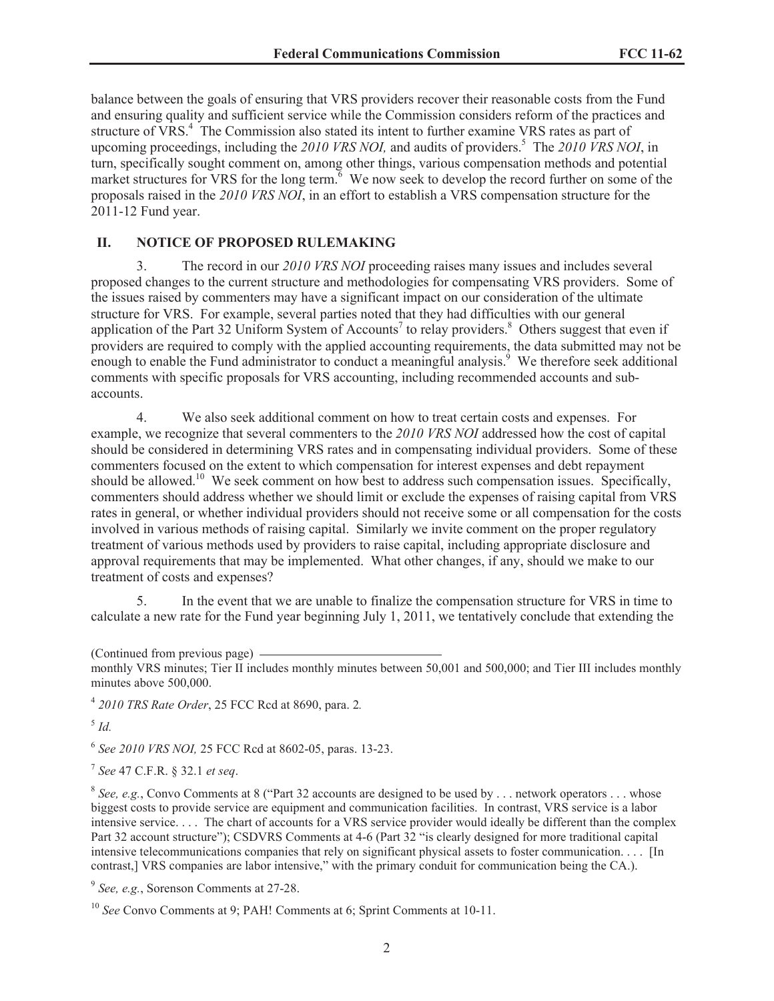balance between the goals of ensuring that VRS providers recover their reasonable costs from the Fund and ensuring quality and sufficient service while the Commission considers reform of the practices and structure of VRS.<sup>4</sup> The Commission also stated its intent to further examine VRS rates as part of upcoming proceedings, including the 2010 VRS NOI, and audits of providers.<sup>5</sup> The 2010 VRS NOI, in turn, specifically sought comment on, among other things, various compensation methods and potential market structures for VRS for the long term. $6$  We now seek to develop the record further on some of the proposals raised in the *2010 VRS NOI*, in an effort to establish a VRS compensation structure for the 2011-12 Fund year.

### **II. NOTICE OF PROPOSED RULEMAKING**

3. The record in our *2010 VRS NOI* proceeding raises many issues and includes several proposed changes to the current structure and methodologies for compensating VRS providers. Some of the issues raised by commenters may have a significant impact on our consideration of the ultimate structure for VRS. For example, several parties noted that they had difficulties with our general application of the Part 32 Uniform System of Accounts<sup>7</sup> to relay providers.<sup>8</sup> Others suggest that even if providers are required to comply with the applied accounting requirements, the data submitted may not be enough to enable the Fund administrator to conduct a meaningful analysis.<sup>9</sup> We therefore seek additional comments with specific proposals for VRS accounting, including recommended accounts and subaccounts.

4. We also seek additional comment on how to treat certain costs and expenses. For example, we recognize that several commenters to the *2010 VRS NOI* addressed how the cost of capital should be considered in determining VRS rates and in compensating individual providers. Some of these commenters focused on the extent to which compensation for interest expenses and debt repayment should be allowed.<sup>10</sup> We seek comment on how best to address such compensation issues. Specifically, commenters should address whether we should limit or exclude the expenses of raising capital from VRS rates in general, or whether individual providers should not receive some or all compensation for the costs involved in various methods of raising capital. Similarly we invite comment on the proper regulatory treatment of various methods used by providers to raise capital, including appropriate disclosure and approval requirements that may be implemented. What other changes, if any, should we make to our treatment of costs and expenses?

5. In the event that we are unable to finalize the compensation structure for VRS in time to calculate a new rate for the Fund year beginning July 1, 2011, we tentatively conclude that extending the

4 *2010 TRS Rate Order*, 25 FCC Rcd at 8690, para. 2*.*

5 *Id.*

6 *See 2010 VRS NOI,* 25 FCC Rcd at 8602-05, paras. 13-23.

7 *See* 47 C.F.R. § 32.1 *et seq*.

 $8$  See, e.g., Convo Comments at 8 ("Part 32 accounts are designed to be used by . . . network operators . . . whose biggest costs to provide service are equipment and communication facilities. In contrast, VRS service is a labor intensive service. . . . The chart of accounts for a VRS service provider would ideally be different than the complex Part 32 account structure"); CSDVRS Comments at 4-6 (Part 32 "is clearly designed for more traditional capital intensive telecommunications companies that rely on significant physical assets to foster communication. . . . [In contrast,] VRS companies are labor intensive," with the primary conduit for communication being the CA.).

9 *See, e.g.*, Sorenson Comments at 27-28.

<sup>10</sup> *See* Convo Comments at 9; PAH! Comments at 6; Sprint Comments at 10-11.

<sup>(</sup>Continued from previous page)

monthly VRS minutes; Tier II includes monthly minutes between 50,001 and 500,000; and Tier III includes monthly minutes above 500,000.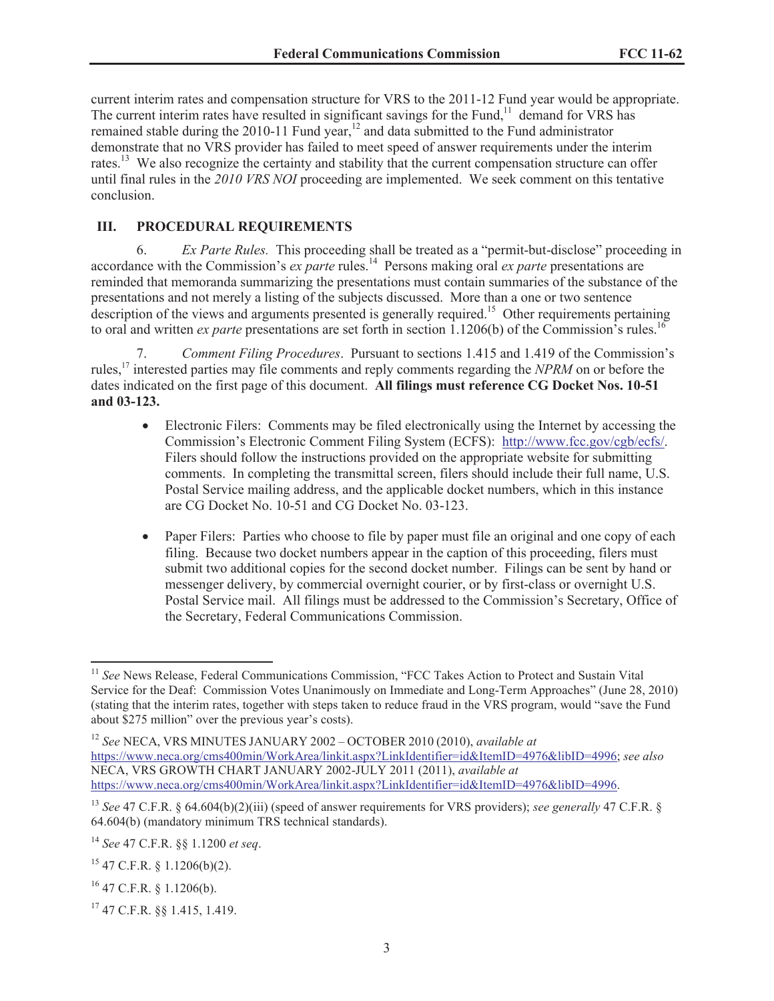current interim rates and compensation structure for VRS to the 2011-12 Fund year would be appropriate. The current interim rates have resulted in significant savings for the Fund,<sup>11</sup> demand for VRS has remained stable during the 2010-11 Fund year, $12$  and data submitted to the Fund administrator demonstrate that no VRS provider has failed to meet speed of answer requirements under the interim rates.<sup>13</sup> We also recognize the certainty and stability that the current compensation structure can offer until final rules in the *2010 VRS NOI* proceeding are implemented. We seek comment on this tentative conclusion.

# **III. PROCEDURAL REQUIREMENTS**

6. *Ex Parte Rules.* This proceeding shall be treated as a "permit-but-disclose" proceeding in accordance with the Commission's *ex parte* rules.<sup>14</sup> Persons making oral *ex parte* presentations are reminded that memoranda summarizing the presentations must contain summaries of the substance of the presentations and not merely a listing of the subjects discussed. More than a one or two sentence description of the views and arguments presented is generally required.<sup>15</sup> Other requirements pertaining to oral and written *ex parte* presentations are set forth in section 1.1206(b) of the Commission's rules.<sup>16</sup>

7. *Comment Filing Procedures*. Pursuant to sections 1.415 and 1.419 of the Commission's rules,<sup>17</sup> interested parties may file comments and reply comments regarding the *NPRM* on or before the dates indicated on the first page of this document. **All filings must reference CG Docket Nos. 10-51 and 03-123.**

- Electronic Filers: Comments may be filed electronically using the Internet by accessing the Commission's Electronic Comment Filing System (ECFS): http://www.fcc.gov/cgb/ecfs/. Filers should follow the instructions provided on the appropriate website for submitting comments. In completing the transmittal screen, filers should include their full name, U.S. Postal Service mailing address, and the applicable docket numbers, which in this instance are CG Docket No. 10-51 and CG Docket No. 03-123.
- Paper Filers: Parties who choose to file by paper must file an original and one copy of each filing. Because two docket numbers appear in the caption of this proceeding, filers must submit two additional copies for the second docket number. Filings can be sent by hand or messenger delivery, by commercial overnight courier, or by first-class or overnight U.S. Postal Service mail. All filings must be addressed to the Commission's Secretary, Office of the Secretary, Federal Communications Commission.

<sup>&</sup>lt;sup>11</sup> See News Release, Federal Communications Commission, "FCC Takes Action to Protect and Sustain Vital Service for the Deaf: Commission Votes Unanimously on Immediate and Long-Term Approaches" (June 28, 2010) (stating that the interim rates, together with steps taken to reduce fraud in the VRS program, would "save the Fund about \$275 million" over the previous year's costs).

<sup>12</sup> *See* NECA, VRS MINUTES JANUARY 2002 – OCTOBER 2010 (2010), *available at* https://www.neca.org/cms400min/WorkArea/linkit.aspx?LinkIdentifier=id&ItemID=4976&libID=4996; *see also* NECA, VRS GROWTH CHART JANUARY 2002-JULY 2011 (2011), *available at*  https://www.neca.org/cms400min/WorkArea/linkit.aspx?LinkIdentifier=id&ItemID=4976&libID=4996.

<sup>13</sup> *See* 47 C.F.R. § 64.604(b)(2)(iii) (speed of answer requirements for VRS providers); *see generally* 47 C.F.R. § 64.604(b) (mandatory minimum TRS technical standards).

<sup>14</sup> *See* 47 C.F.R. §§ 1.1200 *et seq*.

 $15$  47 C.F.R. § 1.1206(b)(2).

 $16$  47 C.F.R. § 1.1206(b).

<sup>17</sup> 47 C.F.R. §§ 1.415, 1.419.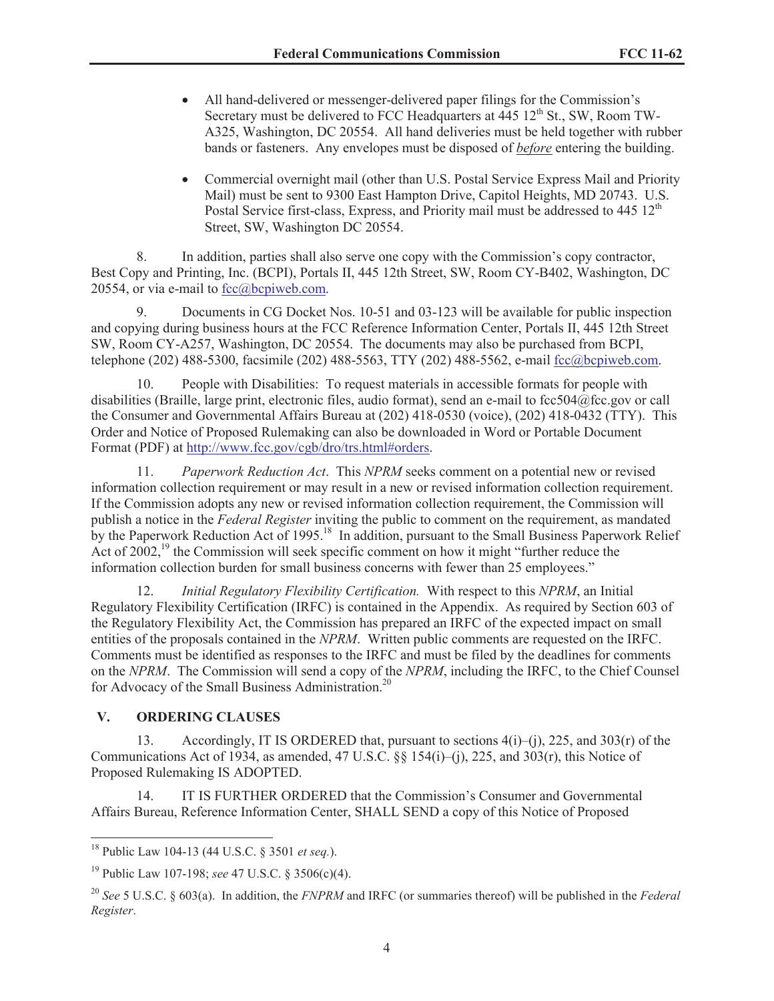- · All hand-delivered or messenger-delivered paper filings for the Commission's Secretary must be delivered to FCC Headquarters at  $445 \, 12^{th}$  St., SW, Room TW-A325, Washington, DC 20554. All hand deliveries must be held together with rubber bands or fasteners. Any envelopes must be disposed of *before* entering the building.
- Commercial overnight mail (other than U.S. Postal Service Express Mail and Priority Mail) must be sent to 9300 East Hampton Drive, Capitol Heights, MD 20743. U.S. Postal Service first-class, Express, and Priority mail must be addressed to  $445 \frac{12^{th}}{125}$ Street, SW, Washington DC 20554.

8. In addition, parties shall also serve one copy with the Commission's copy contractor, Best Copy and Printing, Inc. (BCPI), Portals II, 445 12th Street, SW, Room CY-B402, Washington, DC 20554, or via e-mail to  $fcc@bcpiweb.com$ .

9. Documents in CG Docket Nos. 10-51 and 03-123 will be available for public inspection and copying during business hours at the FCC Reference Information Center, Portals II, 445 12th Street SW, Room CY-A257, Washington, DC 20554. The documents may also be purchased from BCPI, telephone (202) 488-5300, facsimile (202) 488-5563, TTY (202) 488-5562, e-mail fcc@bcpiweb.com.

10. People with Disabilities: To request materials in accessible formats for people with disabilities (Braille, large print, electronic files, audio format), send an e-mail to fcc504@fcc.gov or call the Consumer and Governmental Affairs Bureau at (202) 418-0530 (voice), (202) 418-0432 (TTY). This Order and Notice of Proposed Rulemaking can also be downloaded in Word or Portable Document Format (PDF) at http://www.fcc.gov/cgb/dro/trs.html#orders.

11. *Paperwork Reduction Act*. This *NPRM* seeks comment on a potential new or revised information collection requirement or may result in a new or revised information collection requirement. If the Commission adopts any new or revised information collection requirement, the Commission will publish a notice in the *Federal Register* inviting the public to comment on the requirement, as mandated by the Paperwork Reduction Act of 1995.<sup>18</sup> In addition, pursuant to the Small Business Paperwork Relief Act of 2002,<sup>19</sup> the Commission will seek specific comment on how it might "further reduce the information collection burden for small business concerns with fewer than 25 employees."

12. *Initial Regulatory Flexibility Certification.* With respect to this *NPRM*, an Initial Regulatory Flexibility Certification (IRFC) is contained in the Appendix. As required by Section 603 of the Regulatory Flexibility Act, the Commission has prepared an IRFC of the expected impact on small entities of the proposals contained in the *NPRM*. Written public comments are requested on the IRFC. Comments must be identified as responses to the IRFC and must be filed by the deadlines for comments on the *NPRM*. The Commission will send a copy of the *NPRM*, including the IRFC, to the Chief Counsel for Advocacy of the Small Business Administration.<sup>20</sup>

# **V. ORDERING CLAUSES**

13. Accordingly, IT IS ORDERED that, pursuant to sections 4(i)–(j), 225, and 303(r) of the Communications Act of 1934, as amended, 47 U.S.C.  $\S$  154(i)–(j), 225, and 303(r), this Notice of Proposed Rulemaking IS ADOPTED.

14. IT IS FURTHER ORDERED that the Commission's Consumer and Governmental Affairs Bureau, Reference Information Center, SHALL SEND a copy of this Notice of Proposed

<sup>18</sup> Public Law 104-13 (44 U.S.C. § 3501 *et seq.*).

<sup>19</sup> Public Law 107-198; *see* 47 U.S.C. § 3506(c)(4).

<sup>20</sup> *See* 5 U.S.C. § 603(a). In addition, the *FNPRM* and IRFC (or summaries thereof) will be published in the *Federal Register*.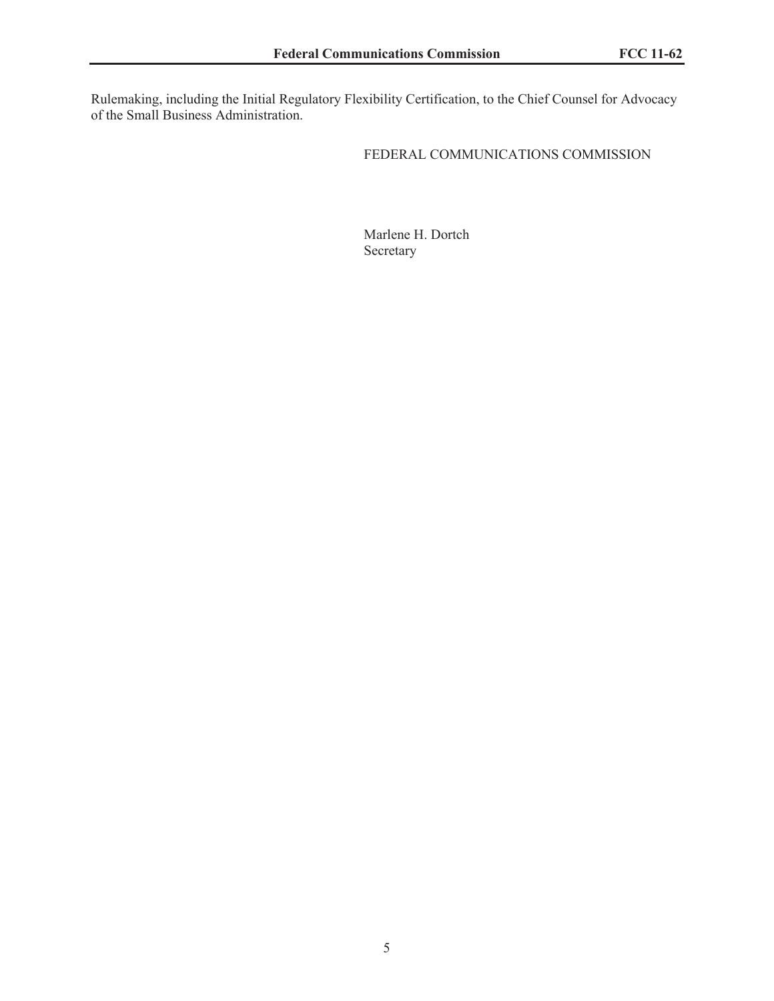Rulemaking, including the Initial Regulatory Flexibility Certification, to the Chief Counsel for Advocacy of the Small Business Administration.

## FEDERAL COMMUNICATIONS COMMISSION

Marlene H. Dortch Secretary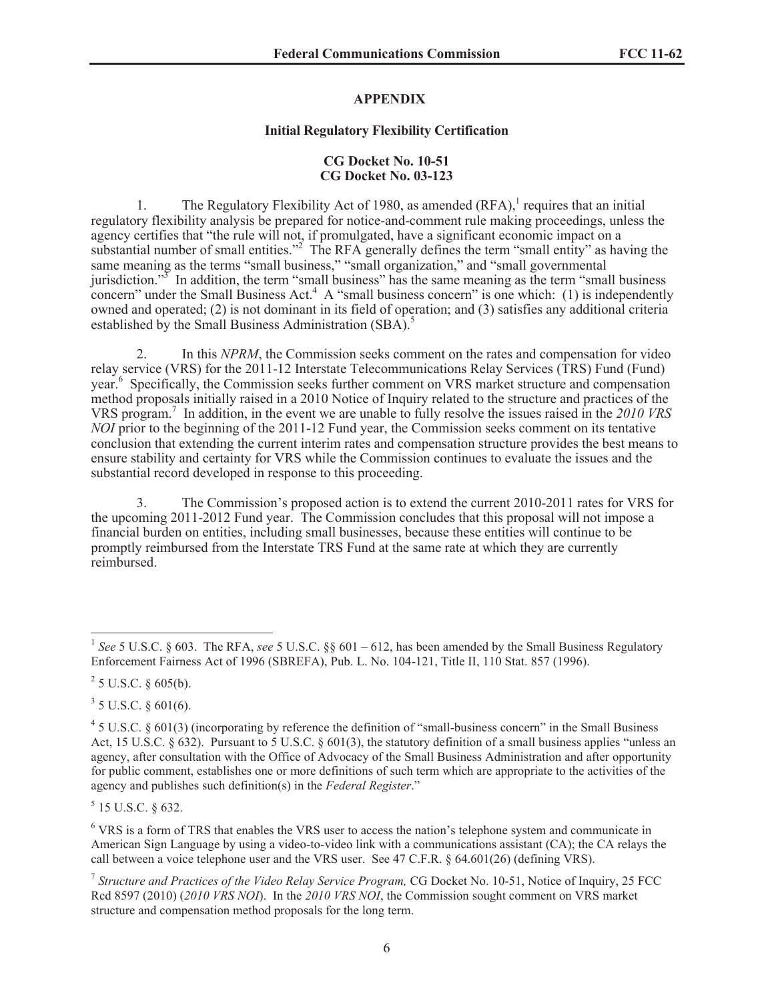#### **APPENDIX**

#### **Initial Regulatory Flexibility Certification**

#### **CG Docket No. 10-51 CG Docket No. 03-123**

1. The Regulatory Flexibility Act of 1980, as amended  $(RFA)$ , requires that an initial regulatory flexibility analysis be prepared for notice-and-comment rule making proceedings, unless the agency certifies that "the rule will not, if promulgated, have a significant economic impact on a substantial number of small entities.<sup>"2</sup> The RFA generally defines the term "small entity" as having the same meaning as the terms "small business," "small organization," and "small governmental jurisdiction."<sup>3</sup> In addition, the term "small business" has the same meaning as the term "small business" concern" under the Small Business Act.<sup>4</sup> A "small business concern" is one which: (1) is independently owned and operated; (2) is not dominant in its field of operation; and (3) satisfies any additional criteria established by the Small Business Administration (SBA).<sup>5</sup>

2. In this *NPRM*, the Commission seeks comment on the rates and compensation for video relay service (VRS) for the 2011-12 Interstate Telecommunications Relay Services (TRS) Fund (Fund) year.<sup>6</sup> Specifically, the Commission seeks further comment on VRS market structure and compensation method proposals initially raised in a 2010 Notice of Inquiry related to the structure and practices of the VRS program.<sup>7</sup> In addition, in the event we are unable to fully resolve the issues raised in the *2010 VRS NOI* prior to the beginning of the 2011-12 Fund year, the Commission seeks comment on its tentative conclusion that extending the current interim rates and compensation structure provides the best means to ensure stability and certainty for VRS while the Commission continues to evaluate the issues and the substantial record developed in response to this proceeding.

3. The Commission's proposed action is to extend the current 2010-2011 rates for VRS for the upcoming 2011-2012 Fund year. The Commission concludes that this proposal will not impose a financial burden on entities, including small businesses, because these entities will continue to be promptly reimbursed from the Interstate TRS Fund at the same rate at which they are currently reimbursed.

 $2^{2}$  5 U.S.C. § 605(b).

 $3$  5 U.S.C. § 601(6).

 $5$  15 U.S.C. § 632.

<sup>6</sup> VRS is a form of TRS that enables the VRS user to access the nation's telephone system and communicate in American Sign Language by using a video-to-video link with a communications assistant (CA); the CA relays the call between a voice telephone user and the VRS user. See 47 C.F.R. § 64.601(26) (defining VRS).

<sup>&</sup>lt;sup>1</sup> See 5 U.S.C. § 603. The RFA, see 5 U.S.C. §§ 601 – 612, has been amended by the Small Business Regulatory Enforcement Fairness Act of 1996 (SBREFA), Pub. L. No. 104-121, Title II, 110 Stat. 857 (1996).

 $45$  U.S.C. § 601(3) (incorporating by reference the definition of "small-business concern" in the Small Business Act, 15 U.S.C. § 632). Pursuant to 5 U.S.C. § 601(3), the statutory definition of a small business applies "unless an agency, after consultation with the Office of Advocacy of the Small Business Administration and after opportunity for public comment, establishes one or more definitions of such term which are appropriate to the activities of the agency and publishes such definition(s) in the *Federal Register*."

<sup>&</sup>lt;sup>7</sup> Structure and Practices of the Video Relay Service Program, CG Docket No. 10-51, Notice of Inquiry, 25 FCC Rcd 8597 (2010) (*2010 VRS NOI*). In the *2010 VRS NOI*, the Commission sought comment on VRS market structure and compensation method proposals for the long term.